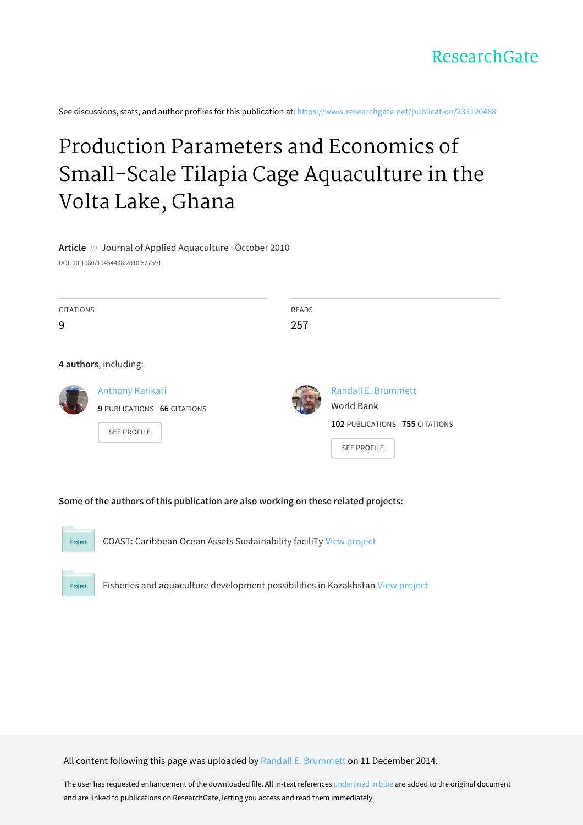See discussions, stats, and author profiles for this publication at: [https://www.researchgate.net/publication/233120488](https://www.researchgate.net/publication/233120488_Production_Parameters_and_Economics_of_Small-Scale_Tilapia_Cage_Aquaculture_in_the_Volta_Lake_Ghana?enrichId=rgreq-2a26232ec4d775a3911e18a49dd78953-XXX&enrichSource=Y292ZXJQYWdlOzIzMzEyMDQ4ODtBUzoxNzMyMzI3NjIxMzg2MjRAMTQxODMxMzMxNzE2Mw%3D%3D&el=1_x_2&_esc=publicationCoverPdf)

# Production Parameters and Economics of Small-Scale Tilapia Cage [Aquaculture](https://www.researchgate.net/publication/233120488_Production_Parameters_and_Economics_of_Small-Scale_Tilapia_Cage_Aquaculture_in_the_Volta_Lake_Ghana?enrichId=rgreq-2a26232ec4d775a3911e18a49dd78953-XXX&enrichSource=Y292ZXJQYWdlOzIzMzEyMDQ4ODtBUzoxNzMyMzI3NjIxMzg2MjRAMTQxODMxMzMxNzE2Mw%3D%3D&el=1_x_3&_esc=publicationCoverPdf) in the Volta Lake, Ghana

**Article** in Journal of Applied Aquaculture · October 2010

DOI: 10.1080/10454438.2010.527591

| <b>CITATIONS</b><br>9 |                                                   | <b>READS</b><br>257 |                                              |
|-----------------------|---------------------------------------------------|---------------------|----------------------------------------------|
|                       | 4 authors, including:<br>Anthony Karikari         |                     | Randall E. Brummett                          |
|                       | 9 PUBLICATIONS 66 CITATIONS<br><b>SEE PROFILE</b> |                     | World Bank<br>102 PUBLICATIONS 755 CITATIONS |
|                       |                                                   |                     | <b>SEE PROFILE</b>                           |

**Some of the authors of this publication are also working on these related projects:**



Project

COAST: Caribbean Ocean Assets Sustainability faciliTy View [project](https://www.researchgate.net/project/COAST-Caribbean-Ocean-Assets-Sustainability-faciliTy?enrichId=rgreq-2a26232ec4d775a3911e18a49dd78953-XXX&enrichSource=Y292ZXJQYWdlOzIzMzEyMDQ4ODtBUzoxNzMyMzI3NjIxMzg2MjRAMTQxODMxMzMxNzE2Mw%3D%3D&el=1_x_9&_esc=publicationCoverPdf)

Fisheries and aquaculture development possibilities in Kazakhstan View [project](https://www.researchgate.net/project/Fisheries-and-aquaculture-development-possibilities-in-Kazakhstan?enrichId=rgreq-2a26232ec4d775a3911e18a49dd78953-XXX&enrichSource=Y292ZXJQYWdlOzIzMzEyMDQ4ODtBUzoxNzMyMzI3NjIxMzg2MjRAMTQxODMxMzMxNzE2Mw%3D%3D&el=1_x_9&_esc=publicationCoverPdf)

All content following this page was uploaded by Randall E. [Brummett](https://www.researchgate.net/profile/Randall_Brummett?enrichId=rgreq-2a26232ec4d775a3911e18a49dd78953-XXX&enrichSource=Y292ZXJQYWdlOzIzMzEyMDQ4ODtBUzoxNzMyMzI3NjIxMzg2MjRAMTQxODMxMzMxNzE2Mw%3D%3D&el=1_x_10&_esc=publicationCoverPdf) on 11 December 2014.

The user has requested enhancement of the downloaded file. All in-text references underlined in blue are added to the original document and are linked to publications on ResearchGate, letting you access and read them immediately.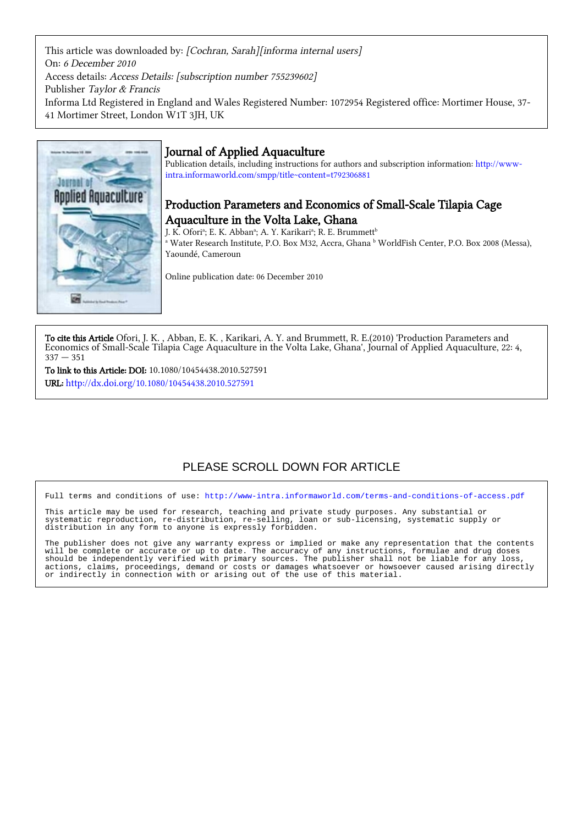This article was downloaded by: [Cochran, Sarah][informa internal users] On: 6 December 2010 Access details: Access Details: [subscription number 755239602] Publisher Taylor & Francis Informa Ltd Registered in England and Wales Registered Number: 1072954 Registered office: Mortimer House, 37- 41 Mortimer Street, London W1T 3JH, UK



## Journal of Applied Aquaculture

Publication details, including instructions for authors and subscription information: [http://www](http://www-intra.informaworld.com/smpp/title~content=t792306881)[intra.informaworld.com/smpp/title~content=t792306881](http://www-intra.informaworld.com/smpp/title~content=t792306881)

## Production Parameters and Economics of Small-Scale Tilapia Cage Aquaculture in the Volta Lake, Ghana

J. K. Ofori<sup>a</sup>; E. K. Abban<sup>a</sup>; A. Y. Karikari<sup>a</sup>; R. E. Brummett<sup>b</sup>

a Water Research Institute, P.O. Box M32, Accra, Ghana <sup>b</sup> WorldFish Center, P.O. Box 2008 (Messa), Yaoundé, Cameroun

Online publication date: 06 December 2010

To cite this Article Ofori, J. K. , Abban, E. K. , Karikari, A. Y. and Brummett, R. E.(2010) 'Production Parameters and Economics of Small-Scale Tilapia Cage Aquaculture in the Volta Lake, Ghana', Journal of Applied Aquaculture, 22: 4,  $337 - 351$ 

To link to this Article: DOI: 10.1080/10454438.2010.527591 URL: <http://dx.doi.org/10.1080/10454438.2010.527591>

## PLEASE SCROLL DOWN FOR ARTICLE

Full terms and conditions of use:<http://www-intra.informaworld.com/terms-and-conditions-of-access.pdf>

This article may be used for research, teaching and private study purposes. Any substantial or systematic reproduction, re-distribution, re-selling, loan or sub-licensing, systematic supply or distribution in any form to anyone is expressly forbidden.

The publisher does not give any warranty express or implied or make any representation that the contents will be complete or accurate or up to date. The accuracy of any instructions, formulae and drug doses should be independently verified with primary sources. The publisher shall not be liable for any loss, actions, claims, proceedings, demand or costs or damages whatsoever or howsoever caused arising directly or indirectly in connection with or arising out of the use of this material.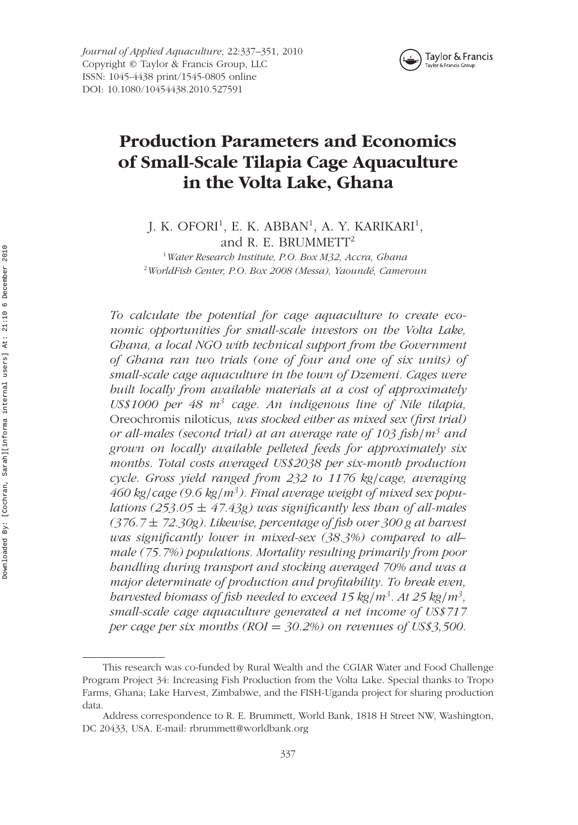

*Journal of Applied Aquaculture*, 22:337–351, 2010 Copyright © Taylor & Francis Group, LLC ISSN: 1045-4438 print/1545-0805 online DOI: 10.1080/10454438.2010.527591

# **Production Parameters and Economics of Small-Scale Tilapia Cage Aquaculture in the Volta Lake, Ghana**

J. K. OFORI<sup>1</sup>, E. K. ABBAN<sup>1</sup>, A. Y. KARIKARI<sup>1</sup>, and R. E. BRUMMETT<sup>2</sup>

1 *Water Research Institute, P.O. Box M32, Accra, Ghana* 2 *WorldFish Center, P.O. Box 2008 (Messa), Yaoundé, Cameroun*

*To calculate the potential for cage aquaculture to create economic opportunities for small-scale investors on the Volta Lake, Ghana, a local NGO with technical support from the Government of Ghana ran two trials (one of four and one of six units) of small-scale cage aquaculture in the town of Dzemeni. Cages were built locally from available materials at a cost of approximately US\$1000 per 48 m3 cage. An indigenous line of Nile tilapia,* Oreochromis niloticus*, was stocked either as mixed sex (first trial) or all-males (second trial) at an average rate of 103 fish/m3 and grown on locally available pelleted feeds for approximately six months. Total costs averaged US\$2038 per six-month production cycle. Gross yield ranged from 232 to 1176 kg/cage, averaging 460 kg/cage (9.6 kg/m3). Final average weight of mixed sex populations (253.05* ± *47.43g) was significantly less than of all-males (376.7* ± *72.30g). Likewise, percentage of fish over 300 g at harvest was significantly lower in mixed-sex (38.3%) compared to all– male (75.7%) populations. Mortality resulting primarily from poor handling during transport and stocking averaged 70% and was a major determinate of production and profitability. To break even, harvested biomass of fish needed to exceed 15 kg/m3. At 25 kg/m3, small-scale cage aquaculture generated a net income of US\$717 per cage per six months (ROI* = *30.2%) on revenues of US\$3,500.*

This research was co-funded by Rural Wealth and the CGIAR Water and Food Challenge Program Project 34: Increasing Fish Production from the Volta Lake. Special thanks to Tropo Farms, Ghana; Lake Harvest, Zimbabwe, and the FISH-Uganda project for sharing production data.

Address correspondence to R. E. Brummett, World Bank, 1818 H Street NW, Washington, DC 20433, USA. E-mail: rbrummett@worldbank.org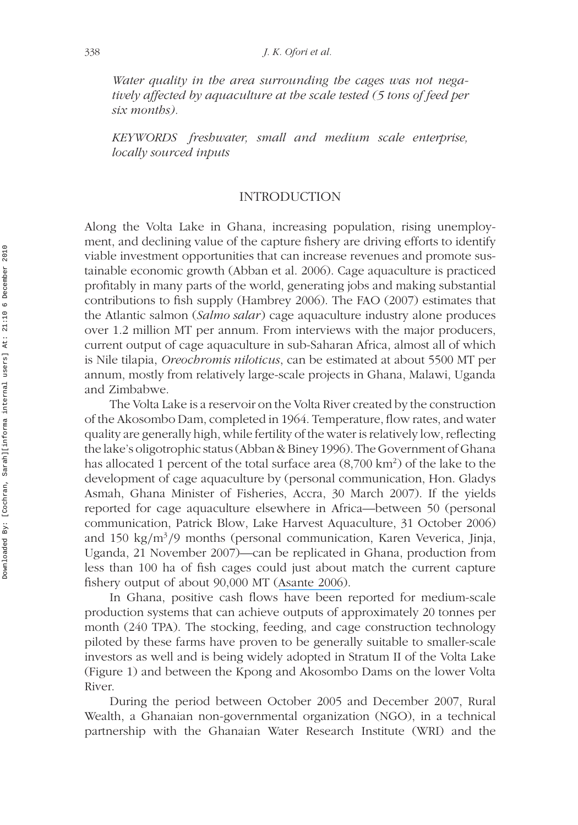*Water quality in the area surrounding the cages was not negatively affected by aquaculture at the scale tested (5 tons of feed per six months).*

*KEYWORDS freshwater, small and medium scale enterprise, locally sourced inputs*

#### INTRODUCTION

Along the Volta Lake in Ghana, increasing population, rising unemployment, and declining value of the capture fishery are driving efforts to identify viable investment opportunities that can increase revenues and promote sustainable economic growth (Abban et al. 2006). Cage aquaculture is practiced profitably in many parts of the world, generating jobs and making substantial contributions to fish supply (Hambrey 2006). The FAO (2007) estimates that the Atlantic salmon (*Salmo salar*) cage aquaculture industry alone produces over 1.2 million MT per annum. From interviews with the major producers, current output of cage aquaculture in sub-Saharan Africa, almost all of which is Nile tilapia, *Oreochromis niloticus*, can be estimated at about 5500 MT per annum, mostly from relatively large-scale projects in Ghana, Malawi, Uganda and Zimbabwe.

The Volta Lake is a reservoir on the Volta River created by the construction of the Akosombo Dam, completed in 1964. Temperature, flow rates, and water quality are generally high, while fertility of the water is relatively low, reflecting the lake's oligotrophic status (Abban & Biney 1996). The Government of Ghana has allocated 1 percent of the total surface area  $(8,700 \text{ km}^2)$  of the lake to the development of cage aquaculture by (personal communication, Hon. Gladys Asmah, Ghana Minister of Fisheries, Accra, 30 March 2007). If the yields reported for cage aquaculture elsewhere in Africa—between 50 (personal communication, Patrick Blow, Lake Harvest Aquaculture, 31 October 2006) and 150 kg*/*m3*/*9 months (personal communication, Karen Veverica, Jinja, Uganda, 21 November 2007)—can be replicated in Ghana, production from less than 100 ha of fish cages could just about match the current capture fishery output of about 90,000 MT ([Asante 2006](https://www.researchgate.net/publication/293688729_Socio-economics_of_fisheries_dependent_communities_in_the_Volta_Basin_of_Ghana?el=1_x_8&enrichId=rgreq-2a26232ec4d775a3911e18a49dd78953-XXX&enrichSource=Y292ZXJQYWdlOzIzMzEyMDQ4ODtBUzoxNzMyMzI3NjIxMzg2MjRAMTQxODMxMzMxNzE2Mw==)).

In Ghana, positive cash flows have been reported for medium-scale production systems that can achieve outputs of approximately 20 tonnes per month (240 TPA). The stocking, feeding, and cage construction technology piloted by these farms have proven to be generally suitable to smaller-scale investors as well and is being widely adopted in Stratum II of the Volta Lake (Figure 1) and between the Kpong and Akosombo Dams on the lower Volta River.

During the period between October 2005 and December 2007, Rural Wealth, a Ghanaian non-governmental organization (NGO), in a technical partnership with the Ghanaian Water Research Institute (WRI) and the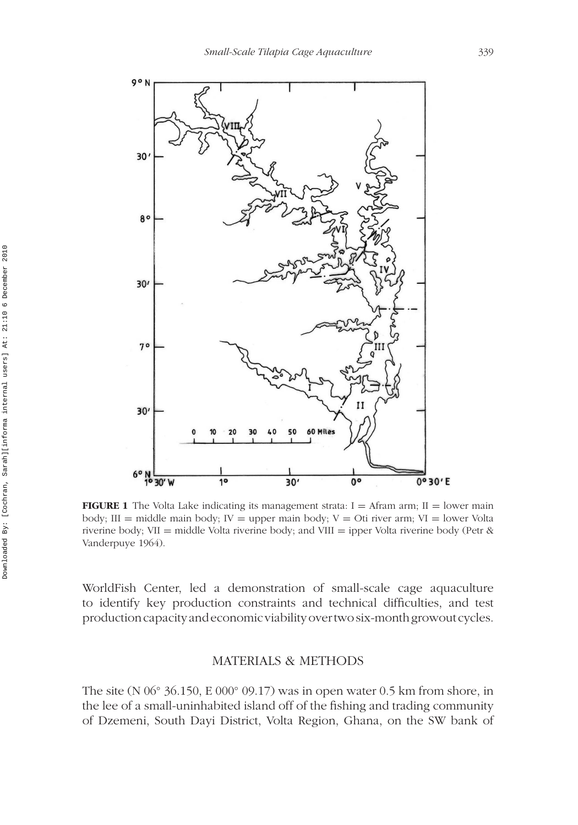

**FIGURE 1** The Volta Lake indicating its management strata:  $I =$  Afram arm;  $II =$  lower main body; III = middle main body; IV = upper main body;  $V = Ot$  river arm;  $VI = lower$  Volta riverine body; VII = middle Volta riverine body; and VIII = ipper Volta riverine body (Petr  $\&$ Vanderpuye 1964).

WorldFish Center, led a demonstration of small-scale cage aquaculture to identify key production constraints and technical difficulties, and test production capacity and economic viability overtwo six-month growout cycles.

#### MATERIALS & METHODS

The site (N 06◦ 36.150, E 000◦ 09.17) was in open water 0.5 km from shore, in the lee of a small-uninhabited island off of the fishing and trading community of Dzemeni, South Dayi District, Volta Region, Ghana, on the SW bank of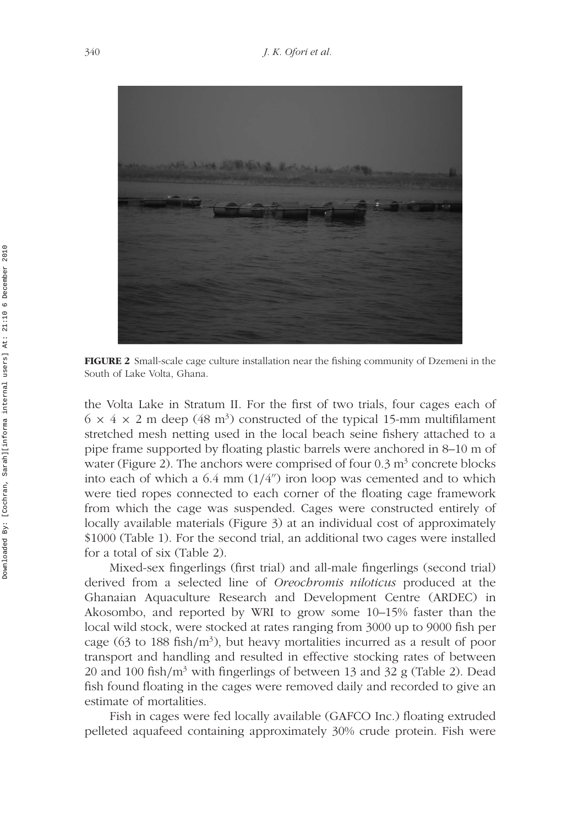

**FIGURE 2** Small-scale cage culture installation near the fishing community of Dzemeni in the South of Lake Volta, Ghana.

the Volta Lake in Stratum II. For the first of two trials, four cages each of  $6 \times 4 \times 2$  m deep (48 m<sup>3</sup>) constructed of the typical 15-mm multifilament stretched mesh netting used in the local beach seine fishery attached to a pipe frame supported by floating plastic barrels were anchored in 8–10 m of water (Figure 2). The anchors were comprised of four  $0.3 \text{ m}^3$  concrete blocks into each of which a  $6.4$  mm  $(1/4'')$  iron loop was cemented and to which were tied ropes connected to each corner of the floating cage framework from which the cage was suspended. Cages were constructed entirely of locally available materials (Figure 3) at an individual cost of approximately \$1000 (Table 1). For the second trial, an additional two cages were installed for a total of six (Table 2).

Mixed-sex fingerlings (first trial) and all-male fingerlings (second trial) derived from a selected line of *Oreochromis niloticus* produced at the Ghanaian Aquaculture Research and Development Centre (ARDEC) in Akosombo, and reported by WRI to grow some 10–15% faster than the local wild stock, were stocked at rates ranging from 3000 up to 9000 fish per cage (63 to 188 fish*/*m3), but heavy mortalities incurred as a result of poor transport and handling and resulted in effective stocking rates of between 20 and 100 fish*/*m3 with fingerlings of between 13 and 32 g (Table 2). Dead fish found floating in the cages were removed daily and recorded to give an estimate of mortalities.

Fish in cages were fed locally available (GAFCO Inc.) floating extruded pelleted aquafeed containing approximately 30% crude protein. Fish were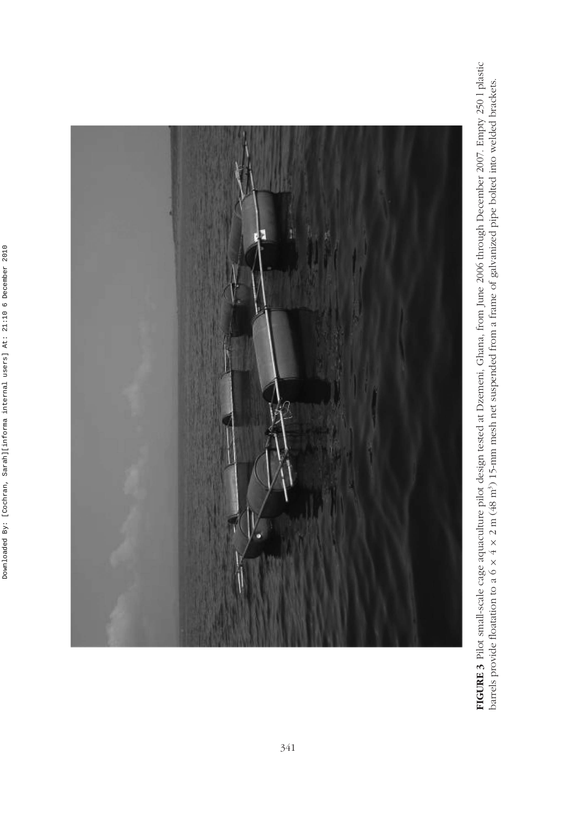

FIGURE 3 Pilot small-scale cage aquaculture pilot design tested at Dzemeni, Ghana, from June 2006 through December 2007. Empty 2501 plastic<br>barrels provide floatation to a 6 x 4 x 2 m (48 m<sup>3</sup>) 15-mm mesh net suspended fro **FIGURE 3** Pilot small-scale cage aquaculture pilot design tested at Dzemeni, Ghana, from June 2006 through December 2007. Empty 250 l plastic barrels provide floatation to a 6 × 4 × 2 m (48 m3) 15-mm mesh net suspended from a frame of galvanized pipe bolted into welded brackets.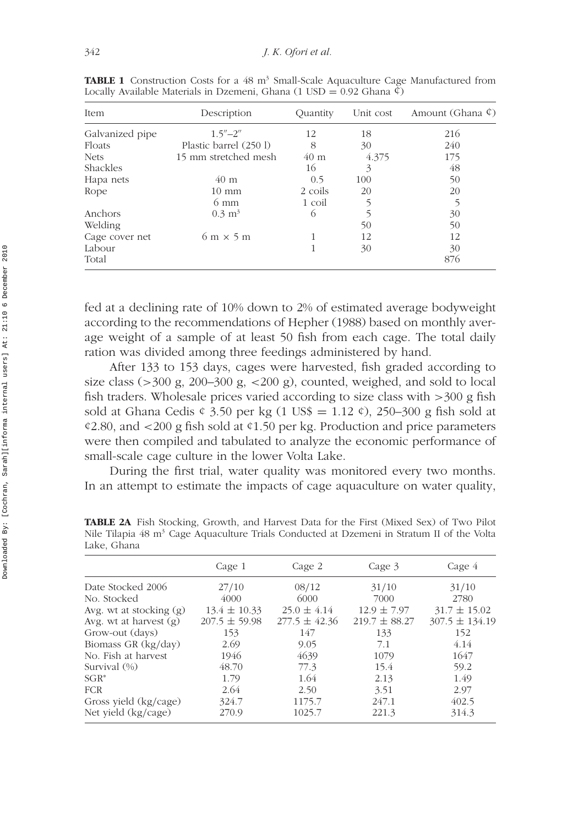| Item            | Description                             | Ouantity        | Unit cost | Amount (Ghana ¢) |
|-----------------|-----------------------------------------|-----------------|-----------|------------------|
| Galvanized pipe | $1.5^{\prime\prime} - 2^{\prime\prime}$ | 12              | 18        | 216              |
| Floats          | Plastic barrel (250 l)                  | 8               | 30        | 240              |
| <b>Nets</b>     | 15 mm stretched mesh                    | 40 <sub>m</sub> | 4.375     | 175              |
| Shackles        |                                         | 16              | 3         | 48               |
| Hapa nets       | $40 \text{ m}$                          | 0.5             | 100       | 50               |
| Rope            | $10 \text{ mm}$                         | 2 coils         | 20        | 20               |
|                 | $6 \text{ mm}$                          | 1 coil          |           |                  |
| Anchors         | $0.3 \text{ m}^3$                       | $\circ$         |           | 30               |
| Welding         |                                         |                 | 50        | 50               |
| Cage cover net  | $6 \text{ m} \times 5 \text{ m}$        |                 | 12        | 12               |
| Labour          |                                         |                 | 30        | 30               |
| Total           |                                         |                 |           | 876              |

**TABLE 1** Construction Costs for a 48 m<sup>3</sup> Small-Scale Aquaculture Cage Manufactured from Locally Available Materials in Dzemeni, Ghana  $(1 \text{ USD} = 0.92 \text{ Ghana } \phi)$ 

fed at a declining rate of 10% down to 2% of estimated average bodyweight according to the recommendations of Hepher (1988) based on monthly average weight of a sample of at least 50 fish from each cage. The total daily ration was divided among three feedings administered by hand.

After 133 to 153 days, cages were harvested, fish graded according to size class (*>*300 g, 200–300 g, *<*200 g), counted, weighed, and sold to local fish traders. Wholesale prices varied according to size class with *>*300 g fish sold at Ghana Cedis  $\epsilon$  3.50 per kg (1 US\$ = 1.12  $\epsilon$ ), 250–300 g fish sold at ¢2.80, and *<*200 g fish sold at ¢1.50 per kg. Production and price parameters were then compiled and tabulated to analyze the economic performance of small-scale cage culture in the lower Volta Lake.

During the first trial, water quality was monitored every two months. In an attempt to estimate the impacts of cage aquaculture on water quality,

|                           | Cage 1            | Cage 2            | Cage 3            | Cage 4             |
|---------------------------|-------------------|-------------------|-------------------|--------------------|
| Date Stocked 2006         | 27/10             | 08/12             | 31/10             | 31/10              |
| No. Stocked               | 4000              | 6000              | 7000              | 2780               |
| Avg. wt at stocking $(g)$ | $13.4 \pm 10.33$  | $25.0 \pm 4.14$   | $12.9 \pm 7.97$   | $31.7 \pm 15.02$   |
| Avg. wt at harvest $(g)$  | $207.5 \pm 59.98$ | $277.5 \pm 42.36$ | $219.7 \pm 88.27$ | $307.5 \pm 134.19$ |
| Grow-out (days)           | 153               | 147               | 133               | 152                |
| Biomass GR (kg/day)       | 2.69              | 9.05              | 7.1               | 4.14               |
| No. Fish at harvest       | 1946              | 4639              | 1079              | 1647               |
| Survival $(\%)$           | 48.70             | 77.3              | 15.4              | 59.2               |
| $SGR^*$                   | 1.79              | 1.64              | 2.13              | 1.49               |
| <b>FCR</b>                | 2.64              | 2.50              | 3.51              | 2.97               |
| Gross yield (kg/cage)     | 324.7             | 1175.7            | 247.1             | 402.5              |
| Net yield (kg/cage)       | 270.9             | 1025.7            | 221.3             | 314.3              |

**TABLE 2A** Fish Stocking, Growth, and Harvest Data for the First (Mixed Sex) of Two Pilot Nile Tilapia 48 m<sup>3</sup> Cage Aquaculture Trials Conducted at Dzemeni in Stratum II of the Volta Lake, Ghana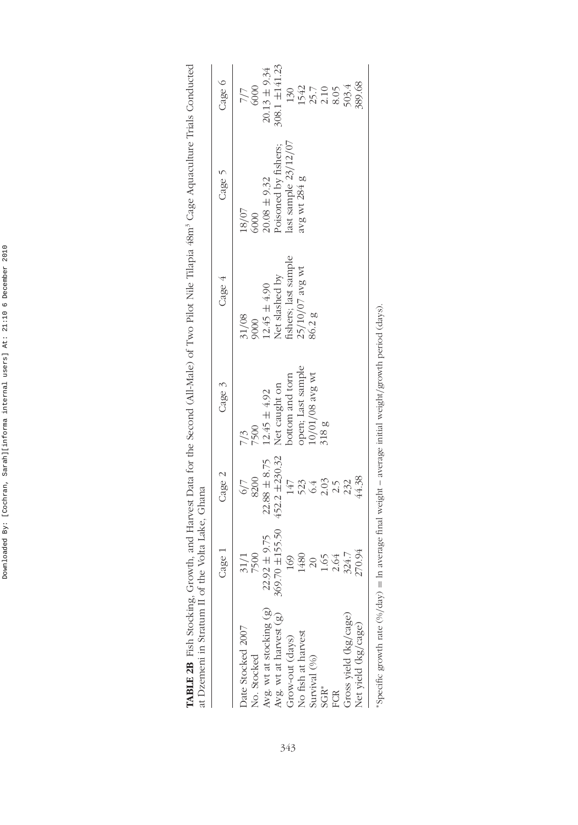| $\sim$ $\sim$ $\sim$<br>$\frac{1}{2}$ |
|---------------------------------------|
|                                       |
|                                       |
| I<br>ł<br>I                           |
| į<br>$\frac{1}{4}$<br>è               |
| İ                                     |
| ֚֓<br>֠                               |
|                                       |
|                                       |
| ļ                                     |
| j                                     |
| í                                     |
| I<br>֕                                |

| I                                                |                                                                                                                           |
|--------------------------------------------------|---------------------------------------------------------------------------------------------------------------------------|
|                                                  |                                                                                                                           |
| ļ                                                |                                                                                                                           |
|                                                  |                                                                                                                           |
| ļ                                                |                                                                                                                           |
| I                                                |                                                                                                                           |
| ì                                                |                                                                                                                           |
| $\ddot{\cdot}$<br>Fil                            |                                                                                                                           |
| $-4.33$                                          |                                                                                                                           |
| $\overline{a}$                                   |                                                                                                                           |
| Į                                                |                                                                                                                           |
|                                                  |                                                                                                                           |
|                                                  |                                                                                                                           |
| י<br>ו<br>ļ                                      |                                                                                                                           |
|                                                  |                                                                                                                           |
|                                                  |                                                                                                                           |
|                                                  | ١                                                                                                                         |
| ו<br>ו<br>Į                                      |                                                                                                                           |
| $\ddot{\phantom{0}}$<br>$\overline{\phantom{a}}$ | ֧֧֧֧֧֧֧֧֧֧֧֧֧ׅ֧֧֧֧֧֧֧֧֧֛֧֛֧֛֧֛֧֧֧֧֧֧֚֚֚֚֚֚֚֚֚֚֚֚֚֚֚֚֚֝֓֓֓֝֓֝֓֝֓֝֬֝֬֝֓֝֓֝֓֝֓֝֬֝֬֝֓֝֬֜֓֝֬֝֬֝֬֝֬֝֬֝֬֝֬֝֬֝֓֝֓֝֬֝֬֝֬<br>$\sim$ |
| Ë                                                |                                                                                                                           |
| j<br>į<br>)                                      |                                                                                                                           |
| י<br>י<br>د<br>سا                                |                                                                                                                           |
|                                                  |                                                                                                                           |
| TADITO OD E                                      | $\frac{1}{2}$                                                                                                             |
|                                                  |                                                                                                                           |

|                                                                                                                                                                                                                   | Cage 1                                                                                                                                         | Cage 2                                                                                                                                                            | Cage 3                                                                                                             | Cage 4                                                                                                | Cage 5                                                                                                                                        | Cage 6                                                                                                                                                                                                                                                                            |
|-------------------------------------------------------------------------------------------------------------------------------------------------------------------------------------------------------------------|------------------------------------------------------------------------------------------------------------------------------------------------|-------------------------------------------------------------------------------------------------------------------------------------------------------------------|--------------------------------------------------------------------------------------------------------------------|-------------------------------------------------------------------------------------------------------|-----------------------------------------------------------------------------------------------------------------------------------------------|-----------------------------------------------------------------------------------------------------------------------------------------------------------------------------------------------------------------------------------------------------------------------------------|
| Avg. wt at stocking $(g)$<br>Avg. wt at harvest $(g)$<br>Gross yield (kg/cage)<br>Vet yield (kg/cage)<br>Date Stocked 2007<br>No fish at harvest<br>Grow-out (days)<br>No. Stocked<br>survival (%)<br>sGR*<br>FCR | 369.70 ±155.50<br>$92 \pm 9.75$<br>270.94<br>$\begin{array}{c} 1480 \\ 20 \\ 1.65 \\ 2.64 \\ 324.7 \end{array}$<br>31/1<br>7500<br>169<br>22.9 | $\begin{array}{c} 22.88\pm8.75 \\ 452.2\pm230.32 \end{array}$<br>6/7<br>8200<br>$\begin{array}{c}\n 147 \\  523 \\  643 \\  2.03 \\  2.32 \\  4.38\n \end{array}$ | pen; Last sample<br>10/01/08 avg wt<br>Net caught on<br>bottom and torn<br>$12.45 \pm 4.92$<br>318g<br>7500<br>5/7 | 31/08<br>9000<br>12.45 ± 4.90<br>Net slashed by<br>fishers; last sample<br>125/10/07 avg wt<br>86.2 g | $\begin{array}{l} 20.08 \pm 9.32 \\ \text{Poisoned by fishers;} \\ \text{last sample } 23/12/07 \end{array}$<br>avg wt 284 g<br>18/07<br>6000 | $\begin{array}{l} 20.13\pm 9.34\\ 308.1\pm 141.23\\ 130\\ 1542\\ 1542\\ 25.7\\ 2.10\\ 8.05\\ 8.05\\ 8.03.4\\ 8.03.4\\ 8.03.4\\ 8.03.4\\ 8.03.4\\ 8.03.4\\ 8.03.4\\ 8.03.4\\ 8.03.4\\ 8.03.4\\ 8.03.4\\ 8.03.4\\ 8.03.4\\ 8.03.4\\ 8.03.4\\ 8.03.4\\ 8.03.4\\ 8.03.$<br>7/7<br>000 |

\*Specific growth rate  $(\% / \text{day}) = \text{In average final weight} - \text{average initial weight/growth period (days)}.$ ∗Specific growth rate (%*/*day) = ln average final weight – average initial weight*/*growth period (days).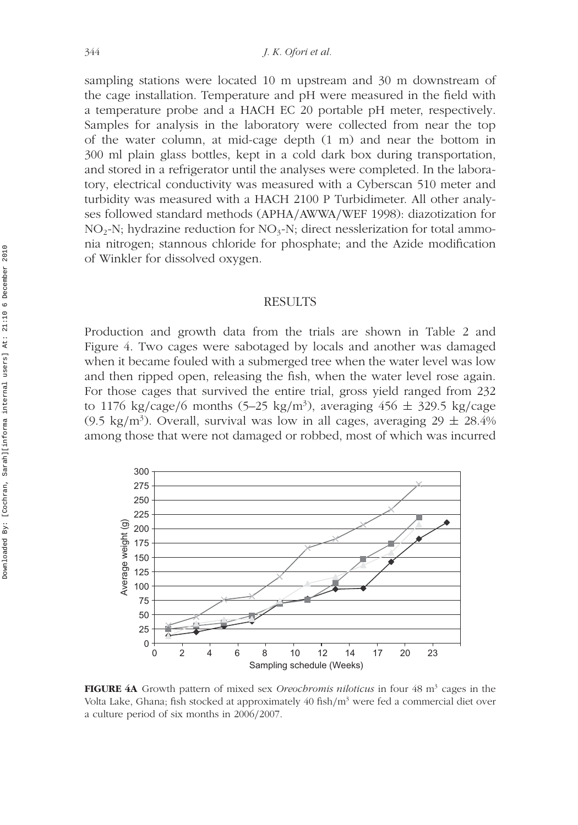sampling stations were located 10 m upstream and 30 m downstream of the cage installation. Temperature and pH were measured in the field with a temperature probe and a HACH EC 20 portable pH meter, respectively. Samples for analysis in the laboratory were collected from near the top of the water column, at mid-cage depth (1 m) and near the bottom in 300 ml plain glass bottles, kept in a cold dark box during transportation, and stored in a refrigerator until the analyses were completed. In the laboratory, electrical conductivity was measured with a Cyberscan 510 meter and turbidity was measured with a HACH 2100 P Turbidimeter. All other analyses followed standard methods (APHA*/*AWWA*/*WEF 1998): diazotization for  $NO<sub>2</sub>-N$ ; hydrazine reduction for  $NO<sub>3</sub>-N$ ; direct nesslerization for total ammonia nitrogen; stannous chloride for phosphate; and the Azide modification of Winkler for dissolved oxygen.

#### **RESULTS**

Production and growth data from the trials are shown in Table 2 and Figure 4. Two cages were sabotaged by locals and another was damaged when it became fouled with a submerged tree when the water level was low and then ripped open, releasing the fish, when the water level rose again. For those cages that survived the entire trial, gross yield ranged from 232 to 1176 kg*/*cage*/*6 months (5–25 kg*/*m3), averaging 456 ± 329.5 kg*/*cage (9.5 kg/m<sup>3</sup>). Overall, survival was low in all cages, averaging  $29 \pm 28.4\%$ among those that were not damaged or robbed, most of which was incurred



**FIGURE 4A** Growth pattern of mixed sex *Oreochromis niloticus* in four 48 m<sup>3</sup> cages in the Volta Lake, Ghana; fish stocked at approximately 40 fish*/*m3 were fed a commercial diet over a culture period of six months in 2006*/*2007.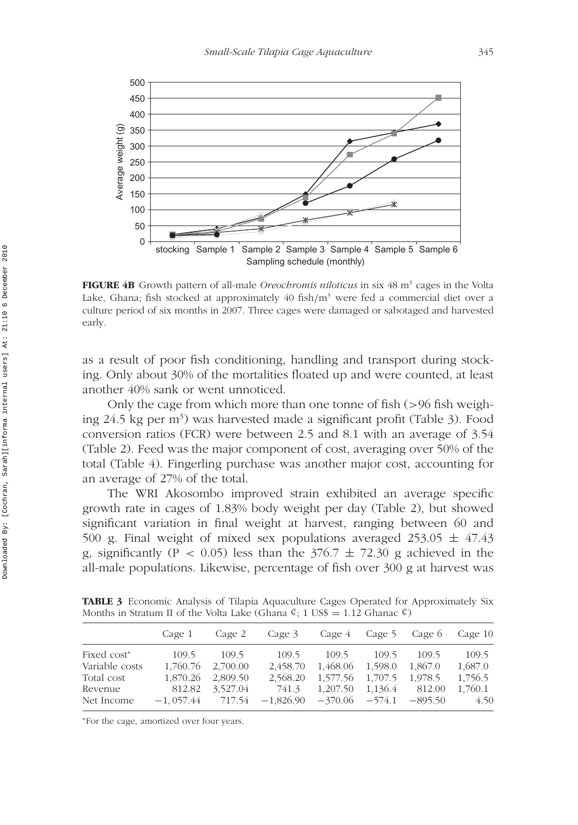

**FIGURE 4B** Growth pattern of all-male *Oreochromis niloticus* in six 48 m<sup>3</sup> cages in the Volta Lake, Ghana; fish stocked at approximately 40 fish*/*m3 were fed a commercial diet over a culture period of six months in 2007. Three cages were damaged or sabotaged and harvested early.

as a result of poor fish conditioning, handling and transport during stocking. Only about 30% of the mortalities floated up and were counted, at least another 40% sank or went unnoticed.

Only the cage from which more than one tonne of fish (*>*96 fish weighing 24.5 kg per m<sup>3</sup>) was harvested made a significant profit (Table 3). Food conversion ratios (FCR) were between 2.5 and 8.1 with an average of 3.54 (Table 2). Feed was the major component of cost, averaging over 50% of the total (Table 4). Fingerling purchase was another major cost, accounting for an average of 27% of the total.

The WRI Akosombo improved strain exhibited an average specific growth rate in cages of 1.83% body weight per day (Table 2), but showed significant variation in final weight at harvest, ranging between 60 and 500 g. Final weight of mixed sex populations averaged  $253.05 \pm 47.43$ g, significantly (P  $<$  0.05) less than the 376.7  $\pm$  72.30 g achieved in the all-male populations. Likewise, percentage of fish over 300 g at harvest was

**TABLE 3** Economic Analysis of Tilapia Aquaculture Cages Operated for Approximately Six Months in Stratum II of the Volta Lake (Ghana  $\hat{\varphi}$ ; 1 US\$ = 1.12 Ghanac  $\hat{\varphi}$ )

|                | Cage 1      | Cage 2   | Cage 3      | Cage 4             | Cage 5  | Cage 6    | Cage 10 |
|----------------|-------------|----------|-------------|--------------------|---------|-----------|---------|
| Fixed cost*    | 109.5       | 109.5    | 109.5       | 109.5              | 109.5   | 109.5     | 109.5   |
| Variable costs | 1,760.76    | 2,700.00 | 2,458.70    | 1,468.06           | 1.598.0 | 1,867.0   | 1,687.0 |
| Total cost     | 1,870.26    | 2,809.50 | 2,568.20    | 1,577.56           | 1,707.5 | 1.978.5   | 1,756.5 |
| Revenue        | 812.82      | 3,527.04 | 741.3       | 1,207.50           | 1,136.4 | 812.00    | 1,760.1 |
| Net Income     | $-1.057.44$ | 717.54   | $-1,826.90$ | $-370.06$ $-574.1$ |         | $-895.50$ | 4.50    |
|                |             |          |             |                    |         |           |         |

<sup>∗</sup>For the cage, amortized over four years.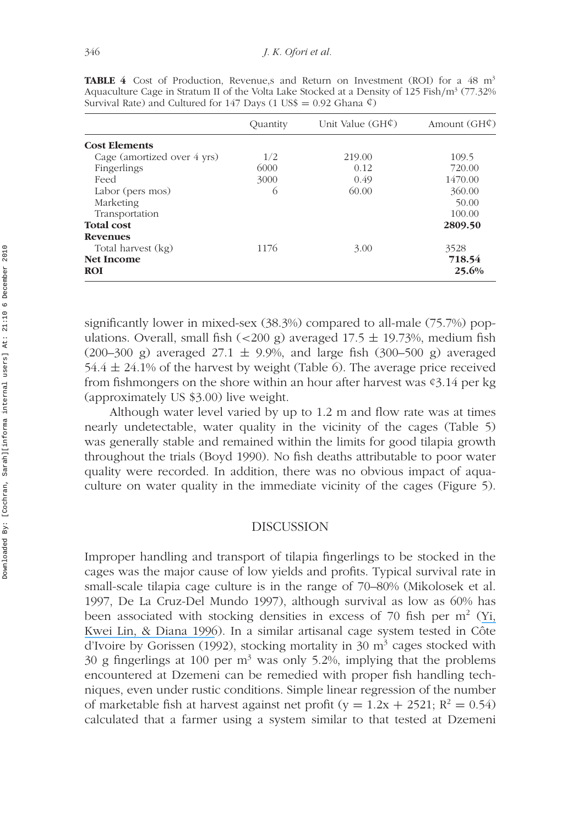|                             | Quantity | Unit Value $(GH\mathcal{L})$ | Amount $(GH\n)$ |
|-----------------------------|----------|------------------------------|-----------------|
| <b>Cost Elements</b>        |          |                              |                 |
| Cage (amortized over 4 yrs) | 1/2      | 219.00                       | 109.5           |
| Fingerlings                 | 6000     | 0.12                         | 720.00          |
| Feed                        | 3000     | 0.49                         | 1470.00         |
| Labor (pers mos)            | $\circ$  | 60.00                        | 360.00          |
| Marketing                   |          |                              | 50.00           |
| Transportation              |          |                              | 100.00          |
| <b>Total cost</b>           |          |                              | 2809.50         |
| <b>Revenues</b>             |          |                              |                 |
| Total harvest (kg)          | 1176     | 3.00                         | 3528            |
| <b>Net Income</b>           |          |                              | 718.54          |
| <b>ROI</b>                  |          |                              | 25.6%           |

**TABLE 4** Cost of Production, Revenue,s and Return on Investment (ROI) for a 48 m3 Aquaculture Cage in Stratum II of the Volta Lake Stocked at a Density of 125 Fish*/*m3 (77.32% Survival Rate) and Cultured for 147 Days (1 US\$ = 0.92 Ghana  $\phi$ )

significantly lower in mixed-sex (38.3%) compared to all-male (75.7%) populations. Overall, small fish (*<*200 g) averaged 17.5 ± 19.73%, medium fish (200–300 g) averaged 27.1  $\pm$  9.9%, and large fish (300–500 g) averaged  $54.4 \pm 24.1\%$  of the harvest by weight (Table 6). The average price received from fishmongers on the shore within an hour after harvest was ¢3.14 per kg (approximately US \$3.00) live weight.

Although water level varied by up to 1.2 m and flow rate was at times nearly undetectable, water quality in the vicinity of the cages (Table 5) was generally stable and remained within the limits for good tilapia growth throughout the trials (Boyd 1990). No fish deaths attributable to poor water quality were recorded. In addition, there was no obvious impact of aquaculture on water quality in the immediate vicinity of the cages (Figure 5).

#### DISCUSSION

Improper handling and transport of tilapia fingerlings to be stocked in the cages was the major cause of low yields and profits. Typical survival rate in small-scale tilapia cage culture is in the range of 70–80% (Mikolosek et al. 1997, De La Cruz-Del Mundo 1997), although survival as low as 60% has been associated with stocking densities in excess of 70 fish per  $m<sup>2</sup>$  ([Yi,](https://www.researchgate.net/publication/240399261_Influence_of_Nile_tilapia_Oreochromis_niloticus_stocking_density_in_cages_on_their_growth_and_yield_in_cages_and_in_ponds_containing_the_cages?el=1_x_8&enrichId=rgreq-2a26232ec4d775a3911e18a49dd78953-XXX&enrichSource=Y292ZXJQYWdlOzIzMzEyMDQ4ODtBUzoxNzMyMzI3NjIxMzg2MjRAMTQxODMxMzMxNzE2Mw==) [Kwei Lin, & Diana 1996](https://www.researchgate.net/publication/240399261_Influence_of_Nile_tilapia_Oreochromis_niloticus_stocking_density_in_cages_on_their_growth_and_yield_in_cages_and_in_ponds_containing_the_cages?el=1_x_8&enrichId=rgreq-2a26232ec4d775a3911e18a49dd78953-XXX&enrichSource=Y292ZXJQYWdlOzIzMzEyMDQ4ODtBUzoxNzMyMzI3NjIxMzg2MjRAMTQxODMxMzMxNzE2Mw==)). In a similar artisanal cage system tested in Côte d'Ivoire by Gorissen (1992), stocking mortality in 30 m<sup>3</sup> cages stocked with 30 g fingerlings at 100 per  $m<sup>3</sup>$  was only 5.2%, implying that the problems encountered at Dzemeni can be remedied with proper fish handling techniques, even under rustic conditions. Simple linear regression of the number of marketable fish at harvest against net profit (y =  $1.2x + 2521$ ; R<sup>2</sup> = 0.54) calculated that a farmer using a system similar to that tested at Dzemeni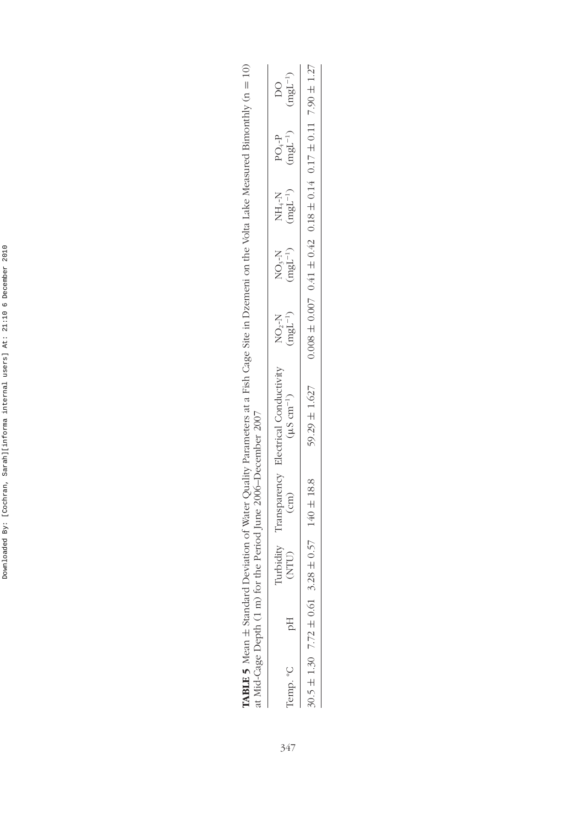| $\ddot{\phantom{0}}$<br>I<br>j                                                                         |
|--------------------------------------------------------------------------------------------------------|
| ı                                                                                                      |
| í                                                                                                      |
|                                                                                                        |
| ł<br>ł<br>ׇ֚֓                                                                                          |
|                                                                                                        |
| $\ddot{\dot{\ } }$<br>ä                                                                                |
|                                                                                                        |
| ֚֚֬<br>j<br>į                                                                                          |
| ֠<br>ì<br>l                                                                                            |
|                                                                                                        |
|                                                                                                        |
| :<br>:<br>֕                                                                                            |
|                                                                                                        |
| j<br>I                                                                                                 |
| ׇ֚֘                                                                                                    |
| j<br>֧֧֦֦֦֦֧֧ׅ֧ׅ֧ׅ֧֧֧֧ׅ֧֧ׅ֧֧֧֧ׅ֧֧֧֧֧֚֚֚֚֚֚֚֚֚֚֚֚֚֚֚֚֚֚֚֚֚֚֚֚֚֚֚֚֚֝֝֟֓֡֟֓֡֟֓֡֟֓֡֟֝֓֜֓֜֜֓֝֬֝֓֜֝֬֝֝֬֝֞֝֬֝ |

| ¢<br>Ę                      |                  |  |
|-----------------------------|------------------|--|
| $\frac{1}{2}$               |                  |  |
|                             |                  |  |
|                             |                  |  |
|                             |                  |  |
|                             |                  |  |
| I                           |                  |  |
|                             |                  |  |
|                             |                  |  |
|                             |                  |  |
|                             |                  |  |
|                             |                  |  |
|                             |                  |  |
|                             |                  |  |
|                             |                  |  |
|                             |                  |  |
|                             |                  |  |
|                             |                  |  |
|                             |                  |  |
|                             |                  |  |
|                             |                  |  |
|                             |                  |  |
|                             |                  |  |
| ļ                           |                  |  |
|                             | I                |  |
|                             |                  |  |
|                             |                  |  |
|                             |                  |  |
|                             |                  |  |
|                             |                  |  |
|                             |                  |  |
|                             |                  |  |
|                             |                  |  |
|                             |                  |  |
|                             |                  |  |
| erva                        | q<br>F           |  |
| I                           |                  |  |
|                             |                  |  |
|                             |                  |  |
|                             | $\rho$ (1 m) for |  |
|                             |                  |  |
|                             | ミニー・シー コンコントラー   |  |
|                             |                  |  |
|                             | しょう ちょー<br>くこ    |  |
| <b>TABLE 5</b> Mean $\pm$ S |                  |  |

| $\Omega$                 | ŗ<br>mgL   | $0.17 \pm 0.11$ 7.90 $\pm$ 1.27                     |
|--------------------------|------------|-----------------------------------------------------|
| $PO4-P$                  | $ngL^{-1}$ |                                                     |
| NH <sub>+</sub> H        | $mgL^{-1}$ |                                                     |
| NO <sub>3</sub> -N       | $mgL^{-1}$ | $0.008 \pm 0.007$ $0.41 \pm 0.42$ $0.18 \pm 0.14$ ( |
| NO <sub>2</sub>          | $mgL^{-1}$ |                                                     |
| $-1$ ortion Conductivity |            | 59.29 $\pm$ 1.627                                   |
|                          | e<br>E     | $140 \pm 18.8$                                      |
| \$                       |            | $\pm 0.57$<br>$\mathbf{\alpha}$                     |
|                          | Ηq         | $7.72 \pm 0.61$                                     |
|                          | emp. °C    | $30.5 \pm 1.30$                                     |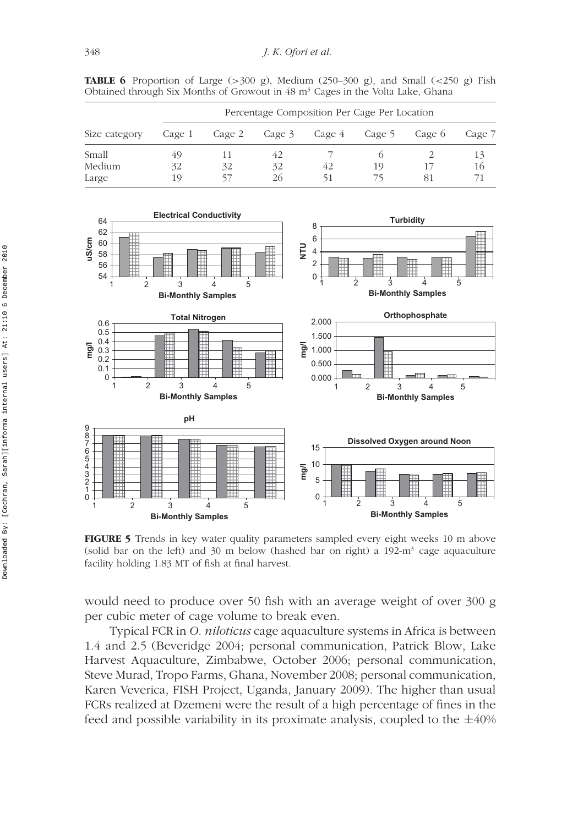**TABLE 6** Proportion of Large (*>*300 g), Medium (250–300 g), and Small (*<*250 g) Fish Obtained through Six Months of Growout in 48 m<sup>3</sup> Cages in the Volta Lake, Ghana

|               | Percentage Composition Per Cage Per Location |        |    |                      |    |        |        |
|---------------|----------------------------------------------|--------|----|----------------------|----|--------|--------|
| Size category | Cage 1                                       | Cage 2 |    | Cage 3 Cage 4 Cage 5 |    | Cage 6 | Cage 7 |
| Small         | 49                                           |        |    |                      |    |        | 13     |
| Medium        | 32                                           | 32     | 32 | 42                   | 19 |        | 16     |
| Large         | 19                                           |        | 26 | 51                   |    | 81     |        |



**FIGURE 5** Trends in key water quality parameters sampled every eight weeks 10 m above (solid bar on the left) and 30 m below (hashed bar on right) a 192-m<sup>3</sup> cage aquaculture facility holding 1.83 MT of fish at final harvest.

would need to produce over 50 fish with an average weight of over 300 g per cubic meter of cage volume to break even.

Typical FCR in *O. niloticus* cage aquaculture systems in Africa is between 1.4 and 2.5 (Beveridge 2004; personal communication, Patrick Blow, Lake Harvest Aquaculture, Zimbabwe, October 2006; personal communication, Steve Murad, Tropo Farms, Ghana, November 2008; personal communication, Karen Veverica, FISH Project, Uganda, January 2009). The higher than usual FCRs realized at Dzemeni were the result of a high percentage of fines in the feed and possible variability in its proximate analysis, coupled to the  $\pm 40\%$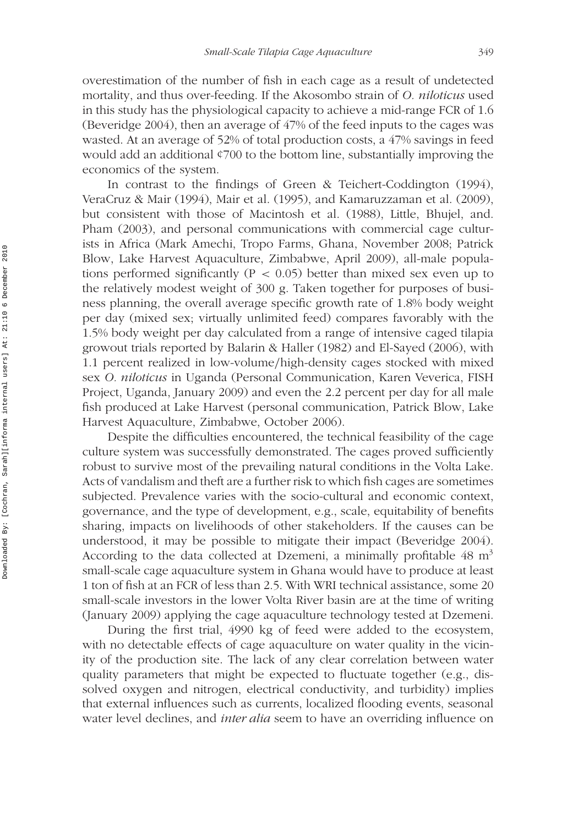overestimation of the number of fish in each cage as a result of undetected mortality, and thus over-feeding. If the Akosombo strain of *O. niloticus* used in this study has the physiological capacity to achieve a mid-range FCR of 1.6 (Beveridge 2004), then an average of 47% of the feed inputs to the cages was wasted. At an average of 52% of total production costs, a 47% savings in feed would add an additional ¢700 to the bottom line, substantially improving the economics of the system.

In contrast to the findings of Green & Teichert-Coddington (1994), VeraCruz & Mair (1994), Mair et al. (1995), and Kamaruzzaman et al. (2009), but consistent with those of Macintosh et al. (1988), Little, Bhujel, and. Pham (2003), and personal communications with commercial cage culturists in Africa (Mark Amechi, Tropo Farms, Ghana, November 2008; Patrick Blow, Lake Harvest Aquaculture, Zimbabwe, April 2009), all-male populations performed significantly ( $P < 0.05$ ) better than mixed sex even up to the relatively modest weight of 300 g. Taken together for purposes of business planning, the overall average specific growth rate of 1.8% body weight per day (mixed sex; virtually unlimited feed) compares favorably with the 1.5% body weight per day calculated from a range of intensive caged tilapia growout trials reported by Balarin & Haller (1982) and El-Sayed (2006), with 1.1 percent realized in low-volume*/*high-density cages stocked with mixed sex *O. niloticus* in Uganda (Personal Communication, Karen Veverica, FISH Project, Uganda, January 2009) and even the 2.2 percent per day for all male fish produced at Lake Harvest (personal communication, Patrick Blow, Lake Harvest Aquaculture, Zimbabwe, October 2006).

Despite the difficulties encountered, the technical feasibility of the cage culture system was successfully demonstrated. The cages proved sufficiently robust to survive most of the prevailing natural conditions in the Volta Lake. Acts of vandalism and theft are a further risk to which fish cages are sometimes subjected. Prevalence varies with the socio-cultural and economic context, governance, and the type of development, e.g., scale, equitability of benefits sharing, impacts on livelihoods of other stakeholders. If the causes can be understood, it may be possible to mitigate their impact (Beveridge 2004). According to the data collected at Dzemeni, a minimally profitable  $48 \text{ m}^3$ small-scale cage aquaculture system in Ghana would have to produce at least 1 ton of fish at an FCR of less than 2.5. With WRI technical assistance, some 20 small-scale investors in the lower Volta River basin are at the time of writing (January 2009) applying the cage aquaculture technology tested at Dzemeni.

During the first trial, 4990 kg of feed were added to the ecosystem, with no detectable effects of cage aquaculture on water quality in the vicinity of the production site. The lack of any clear correlation between water quality parameters that might be expected to fluctuate together (e.g., dissolved oxygen and nitrogen, electrical conductivity, and turbidity) implies that external influences such as currents, localized flooding events, seasonal water level declines, and *inter alia* seem to have an overriding influence on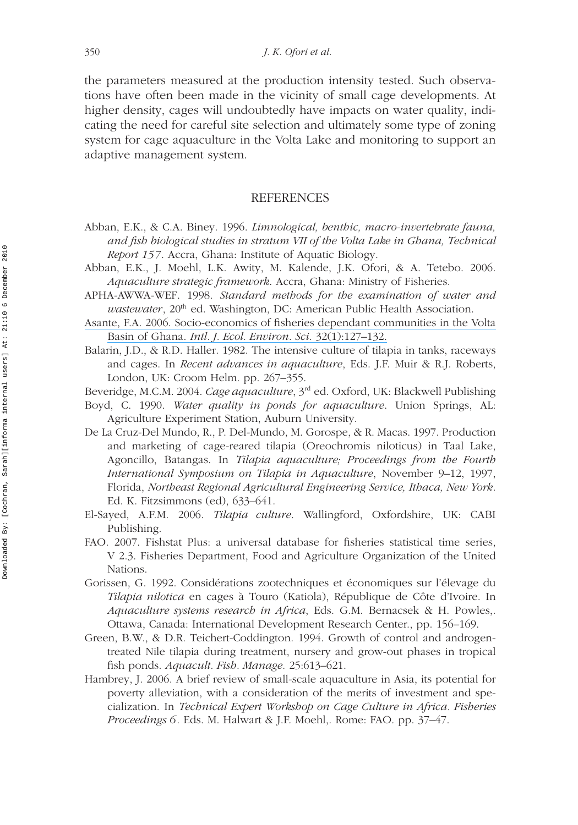the parameters measured at the production intensity tested. Such observations have often been made in the vicinity of small cage developments. At higher density, cages will undoubtedly have impacts on water quality, indicating the need for careful site selection and ultimately some type of zoning system for cage aquaculture in the Volta Lake and monitoring to support an adaptive management system.

#### REFERENCES

- Abban, E.K., & C.A. Biney. 1996. *Limnological, benthic, macro-invertebrate fauna, and fish biological studies in stratum VII of the Volta Lake in Ghana, Technical Report 157*. Accra, Ghana: Institute of Aquatic Biology.
- Abban, E.K., J. Moehl, L.K. Awity, M. Kalende, J.K. Ofori, & A. Tetebo. 2006. *Aquaculture strategic framework*. Accra, Ghana: Ministry of Fisheries.
- APHA-AWWA-WEF. 1998. *Standard methods for the examination of water and wastewater*, 20<sup>th</sup> ed. Washington, DC: American Public Health Association.
- [Asante, F.A. 2006. Socio-economics of fisheries dependant communities in the Volta](https://www.researchgate.net/publication/293688729_Socio-economics_of_fisheries_dependent_communities_in_the_Volta_Basin_of_Ghana?el=1_x_8&enrichId=rgreq-2a26232ec4d775a3911e18a49dd78953-XXX&enrichSource=Y292ZXJQYWdlOzIzMzEyMDQ4ODtBUzoxNzMyMzI3NjIxMzg2MjRAMTQxODMxMzMxNzE2Mw==) Basin of Ghana. *[Intl. J. Ecol. Environ. Sci.](https://www.researchgate.net/publication/293688729_Socio-economics_of_fisheries_dependent_communities_in_the_Volta_Basin_of_Ghana?el=1_x_8&enrichId=rgreq-2a26232ec4d775a3911e18a49dd78953-XXX&enrichSource=Y292ZXJQYWdlOzIzMzEyMDQ4ODtBUzoxNzMyMzI3NjIxMzg2MjRAMTQxODMxMzMxNzE2Mw==)* 32(1):127–132.
- Balarin, J.D., & R.D. Haller. 1982. The intensive culture of tilapia in tanks, raceways and cages. In *Recent advances in aquaculture*, Eds. J.F. Muir & R.J. Roberts, London, UK: Croom Helm. pp. 267–355.
- Beveridge, M.C.M. 2004. *Cage aquaculture*, 3rd ed. Oxford, UK: Blackwell Publishing
- Boyd, C. 1990. *Water quality in ponds for aquaculture*. Union Springs, AL: Agriculture Experiment Station, Auburn University.
- De La Cruz-Del Mundo, R., P. Del-Mundo, M. Gorospe, & R. Macas. 1997. Production and marketing of cage-reared tilapia (Oreochromis niloticus) in Taal Lake, Agoncillo, Batangas. In *Tilapia aquaculture; Proceedings from the Fourth International Symposium on Tilapia in Aquaculture*, November 9–12, 1997, Florida, *Northeast Regional Agricultural Engineering Service, Ithaca, New York*. Ed. K. Fitzsimmons (ed), 633–641.
- El-Sayed, A.F.M. 2006. *Tilapia culture*. Wallingford, Oxfordshire, UK: CABI Publishing.
- FAO. 2007. Fishstat Plus: a universal database for fisheries statistical time series, V 2.3. Fisheries Department, Food and Agriculture Organization of the United Nations.
- Gorissen, G. 1992. Considérations zootechniques et économiques sur l'élevage du *Tilapia nilotica* en cages à Touro (Katiola), République de Côte d'Ivoire. In *Aquaculture systems research in Africa*, Eds. G.M. Bernacsek & H. Powles,. Ottawa, Canada: International Development Research Center., pp. 156–169.
- Green, B.W., & D.R. Teichert-Coddington. 1994. Growth of control and androgentreated Nile tilapia during treatment, nursery and grow-out phases in tropical fish ponds. *Aquacult. Fish. Manage.* 25:613–621.
- Hambrey, J. 2006. A brief review of small-scale aquaculture in Asia, its potential for poverty alleviation, with a consideration of the merits of investment and specialization. In *Technical Expert Workshop on Cage Culture in Africa. Fisheries Proceedings 6*. Eds. M. Halwart & J.F. Moehl,. Rome: FAO. pp. 37–47.